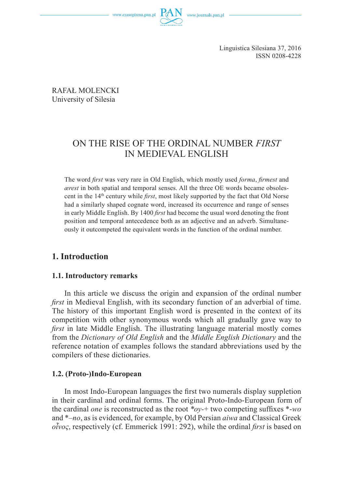www.czasopisma.pan.pl



Linguistica Silesiana 37, 2016 ISSN 0208-4228

RAFAŁ MOLENCKI University of Silesia

# ON THE RISE OF THE ORDINAL NUMBER *FIRST*  IN MEDIEVAL ENGLISH

The word *first* was very rare in Old English, which mostly used *forma*, *firmest* and *ærest* in both spatial and temporal senses. All the three OE words became obsolescent in the 14<sup>th</sup> century while *first*, most likely supported by the fact that Old Norse had a similarly shaped cognate word, increased its occurrence and range of senses in early Middle English. By 1400 *first* had become the usual word denoting the front position and temporal antecedence both as an adjective and an adverb. Simultaneously it outcompeted the equivalent words in the function of the ordinal number.

# **1. Introduction**

#### **1.1. Introductory remarks**

In this article we discuss the origin and expansion of the ordinal number *first* in Medieval English, with its secondary function of an adverbial of time. The history of this important English word is presented in the context of its competition with other synonymous words which all gradually gave way to *first* in late Middle English. The illustrating language material mostly comes from the *Dictionary of Old English* and the *Middle English Dictionary* and the reference notation of examples follows the standard abbreviations used by the compilers of these dictionaries.

#### **1.2. (Proto-)Indo-European**

In most Indo-European languages the first two numerals display suppletion in their cardinal and ordinal forms. The original Proto-Indo-European form of the cardinal *one* is reconstructed as the root  $*ov+$  two competing suffixes  $*-wo$ and \**–no*, as is evidenced, for example, by Old Persian *aiwa* and Classical Greek *οἶνος*, respectively (cf. Emmerick 1991: 292), while the ordinal *fi rst* is based on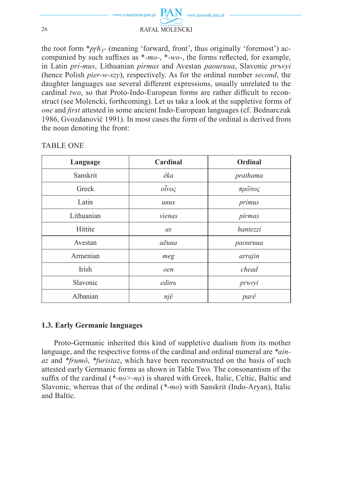

the root form  $*prh_3$ - (meaning 'forward, front', thus originally 'foremost') accompanied by such suffixes as  $*$ *-mo-*,  $*$ *-wo-*, the forms reflected, for example, in Latin *pri-mus*, Lithuanian *pìrmas* and Avestan *paouruua*, Slavonic *prъvyi* (hence Polish *pier-w-szy*), respectively. As for the ordinal number *second*, the daughter languages use several different expressions, usually unrelated to the cardinal *two*, so that Proto-Indo-European forms are rather difficult to reconstruct (see Molencki, forthcoming). Let us take a look at the suppletive forms of *one* and *first* attested in some ancient Indo-European languages (cf. Bednarczuk 1986, Gvozdanović 1991). In most cases the form of the ordinal is derived from the noun denoting the front:

| Language   | Cardinal                | Ordinal  |
|------------|-------------------------|----------|
| Sanskrit   | éka                     | prathama |
| Greek      | $o\tilde{i}vo\varsigma$ | πρῶτος   |
| Latin      | unus                    | primus   |
| Lithuanian | vienas                  | pìrmas   |
| Hittite    | as                      | hantezzi |
| Avestan    | aēuua                   | paouruua |
| Armenian   | meg                     | arrajin  |
| Irish      | oen                     | chead    |
| Slavonic   | edinъ<br>prъvyi         |          |
| Albanian   | një                     | parë     |

#### TABLE ONE

## **1.3. Early Germanic languages**

Proto-Germanic inherited this kind of suppletive dualism from its mother language, and the respective forms of the cardinal and ordinal numeral are *\*ainaz* and *\*frumô*, *\*furistaz*, which have been reconstructed on the basis of such attested early Germanic forms as shown in Table Two. The consonantism of the suffix of the cardinal  $(*-no>-na)$  is shared with Greek, Italic, Celtic, Baltic and Slavonic, whereas that of the ordinal (*\*-mo*) with Sanskrit (Indo-Aryan), Italic and Baltic.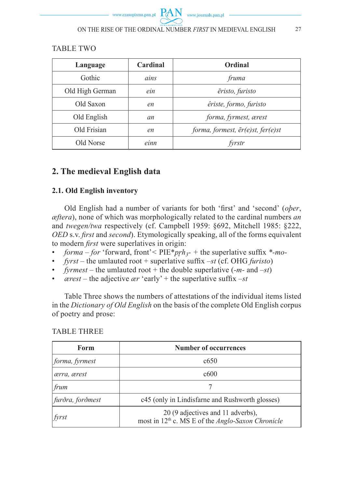### **TABLE TWO**

| Language        | Cardinal | Ordinal                           |
|-----------------|----------|-----------------------------------|
| Gothic          | ains     | fruma                             |
| Old High German | ein      | ēristo, furisto                   |
| Old Saxon       | en       | êriste, formo, furisto            |
| Old English     | an       | forma, fyrmest, ærest             |
| Old Frisian     | en       | forma, formest, ēr(e)st, fer(e)st |
| Old Norse       | einn     | fyrstr                            |

# 2. The medieval English data

# 2.1. Old English inventory

Old English had a number of variants for both 'first' and 'second' (ober,  $\alpha$  *eftera*), none of which was morphologically related to the cardinal numbers an and twegen/twa respectively (cf. Campbell 1959: §692, Mitchell 1985: §222, OED s.v. first and second). Etymologically speaking, all of the forms equivalent to modern *first* were superlatives in origin:

- *forma for* 'forward, front'< PIE\**prh*<sub>3</sub>- + the superlative suffix \*-*mo*- $\bullet$
- *fyrst* the umlauted root + superlative suffix –st (cf. OHG furisto)
- *fyrmest* the umlauted root + the double superlative  $(-m \text{ and } -st)$  $\bullet$
- *cerest* the adjective *ar* 'early' + the superlative suffix  $-st$  $\bullet$

Table Three shows the numbers of attestations of the individual items listed in the *Dictionary of Old English* on the basis of the complete Old English corpus of poetry and prose:

**TABLE THREE** 

| Form             | <b>Number of occurrences</b>                                                                              |  |
|------------------|-----------------------------------------------------------------------------------------------------------|--|
| forma, fyrmest   | c650                                                                                                      |  |
| ærra, ærest      | c600                                                                                                      |  |
| frum             |                                                                                                           |  |
| furðra, forðmest | c45 (only in Lindisfarne and Rushworth glosses)                                                           |  |
| $ $ fyrst        | 20 (9 adjectives and 11 adverbs),<br>most in 12 <sup>th</sup> c. MS E of the <i>Anglo-Saxon Chronicle</i> |  |

27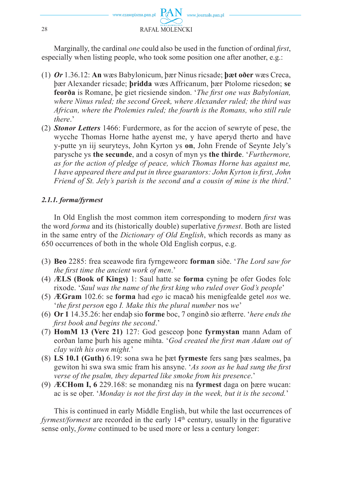

Marginally, the cardinal *one* could also be used in the function of ordinal *first*, especially when listing people, who took some position one after another, e.g.:

- (1) Or 1.36.12: An was Babylonicum, bar Ninus ricsade; bart over was Creca. bær Alexander ricsade; **bridda** wæs Affricanum, bær Ptolome ricsedon; se feorõa is Romane, be giet ricsiende sindon. 'The first one was Babylonian, where Ninus ruled; the second Greek, where Alexander ruled; the third was African, where the Ptolemies ruled: the fourth is the Romans, who still rule there<sup>,</sup>
- (2) **Stonor Letters** 1466: Furdermore, as for the accion of sewryte of pese, the wycche Thomas Horne hathe ayenst me, y have aperyd therto and have v-putte yn iij seuryteys, John Kyrton ys on, John Frende of Seynte Jely's parysche vs the secunde, and a cosyn of myn vs the thirde. 'Furthermore. as for the action of pledge of peace, which Thomas Horne has against me, I have appeared there and put in three guarantors: John Kyrton is first, John Friend of St. Jely's parish is the second and a cousin of mine is the third.'

#### 2.1.1. forma/fyrmest

In Old English the most common item corresponding to modern *first* was the word *forma* and its (historically double) superlative *fyrmest*. Both are listed in the same entry of the *Dictionary of Old English*, which records as many as 650 occurrences of both in the whole Old English corpus, e.g.

- (3) Beo 2285: frea sceawode fira fyrngeweorc forman siðe. 'The Lord saw for the first time the ancient work of men.'
- (4) ÆLS (Book of Kings) 1: Saul hatte se forma cyning be ofer Godes folc rixode. 'Saul was the name of the first king who ruled over God's people'
- (5) ÆGram 102.6: se forma had ego ic macað his menigfealde getel nos we. 'the first person ego I. Make this the plural number nos we'
- (6) Or 1 14.35.26: her endab sio forme boc, 7 ongino sio æfterre. 'here ends the first book and begins the second.'
- (7) HomM 13 (Verc 21) 127: God gesceop bone fyrmystan mann Adam of eorðan lame þurh his agene mihta. 'God created the first man Adam out of clay with his own might.'
- (8) LS 10.1 (Guth) 6.19: sona swa he bæt fyrmeste fers sang bæs sealmes, ba gewiton hi swa swa smic fram his ansyne. 'As soon as he had sung the first verse of the psalm, they departed like smoke from his presence.'
- (9)  $\angle$ **ECHom I, 6** 229.168: se monandæg nis na **fyrmest** daga on bære wucan: ac is se ober. 'Monday is not the first day in the week, but it is the second.'

This is continued in early Middle English, but while the last occurrences of *fyrmest/formest* are recorded in the early  $14<sup>th</sup>$  century, usually in the figurative sense only, *forme* continued to be used more or less a century longer: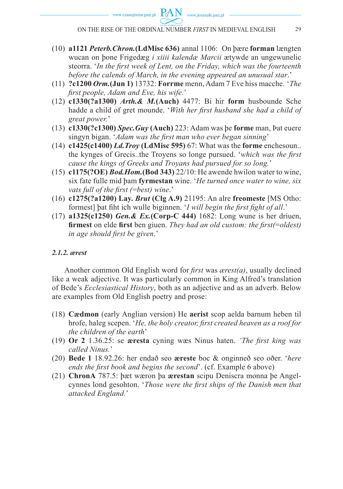**PAN** 

www.journals.pan.pl

- (10) **a1121** *Peterb.Chron.***(LdMisc 636)** annal 1106: On þære **forman** længten wucan on þone Frigedæg *i xiiii kalendæ Marcii* ætywde an ungewunelic steorra. '*In the first week of Lent, on the Friday, which was the fourteenth before the calends of March, in the evening appeared an unusual star*.'
- (11) **?c1200** *Orm.***(Jun 1)** 13732: **Forrme** menn, Adam 7 Eve hiss macche. '*The fi rst people, Adam and Eve, his wife.*'
- (12) **c1330(?a1300)** *Arth.& M.***(Auch)** 4477: Bi hir **form** husbounde Sche hadde a child of gret mounde. 'With her first husband she had a child of *great power.*'
- (13) **c1330(?c1300)** *Spec.Guy* **(Auch)** 223: Adam was þe **forme** man, Þat euere singyn bigan. '*Adam was the first man who ever began sinning*'
- (14) **c1425(c1400)** *Ld.Troy* **(LdMisc 595)** 67: What was the **forme** enchesoun.. the kynges of Grecis..the Troyens so longe pursued. *'which was the first cause the kings of Greeks and Troyans had pursued for so long.*'
- (15) **c1175(?OE)** *Bod.Hom.***(Bod 343)** 22/10: He awende hwilon water to wine, six fate fulle mid þam **fyrmestan** wine. '*He turned once water to wine, six vats full of the first (=best) wine.'*
- (16) **c1275(?a1200) Lay.** *Brut* **(Clg A.9)** 21195: An alre **freomeste** [MS Otho: formest] bat fiht ich wulle biginnen. '*I will begin the first fight of all*.'
- (17) **a1325(c1250)** *Gen.& Ex.***(Corp-C 444)** 1682: Long wune is her driuen, **firmest** on elde **first** ben giuen. *They had an old custom: the first(=oldest) in age should fi rst be given*.'

#### *2.1.2. ærest*

Another common Old English word for *first* was *ærest(a)*, usually declined like a weak adjective. It was particularly common in King Alfred's translation of Bede's *Ecclesiastical History*, both as an adjective and as an adverb. Below are examples from Old English poetry and prose:

- (18) **Cædmon** (early Anglian version) He **aerist** scop aelda barnum heben til hrofe, haleg scepen. '*He, the holy creator, first created heaven as a roof for the children of the earth*'
- (19) **Or 2** 1.36.25: se **æresta** cyning wæs Ninus haten. *'The first king was called Ninus.*'
- (20) **Bede 1** 18.92.26: her endað seo **æreste** boc & onginneð seo oðer. '*here ends the first book and begins the second*'. (cf. Example 6 above)
- (21) **ChronA** 787.5: þæt wæron þa **ærestan** scipu Deniscra monna þe Angelcynnes lond gesohton. '*Those were the first ships of the Danish men that attacked England.*'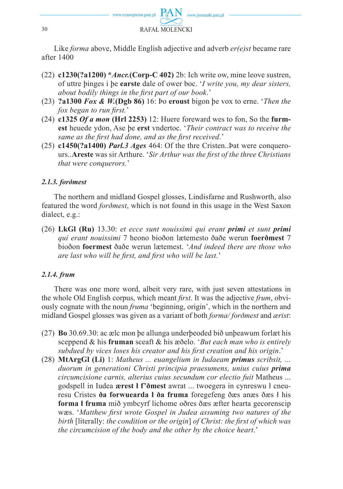

Like *forma* above, Middle English adjective and adverb *er(e)st* became rare after 1400

- (22) **c1230(?a1200) \****Ancr.***(Corp-C 402)** 2b: Ich write ow, mine leove sustren, of uttre þinges i þe **earste** dale of ower boc. '*I write you, my dear sisters, about bodily things in the first part of our book.*'
- (23) **?a1300** *Fox & W.***(Dgb 86)** 16: Þo **eroust** bigon þe vox to erne. '*Then the fox began to run first.*'
- (24) **c1325** *Of a mon* **(Hrl 2253)** 12: Huere foreward wes to fon, So the **furmest** heuede ydon, Ase þe **erst** vndertoc. '*Their contract was to receive the same as the first had done, and as the first received.*'
- (25) **c1450(?a1400)** *Parl.3 Ages* 464: Of the thre Cristen..Þat were conquerours. **Areste** was sir Arthure. *'Sir Arthur was the first of the three Christians that were conquerors.*'

#### *2.1.3. forðmest*

The northern and midland Gospel glosses, Lindisfarne and Rushworth, also featured the word *forðmest*, which is not found in this usage in the West Saxon dialect, e.g.:

(26) **LkGl (Ru)** 13.30: *et ecce sunt nouissimi qui erant primi et sunt primi qui erant nouissimi* 7 heono bioðon lætemesto ðaðe werun **foerðmest** 7 bioðon **foermest** ðaðe werun lætemest. '*And indeed there are those who are last who will be first, and first who will be last.*'

## *2.1.4. frum*

There was one more word, albeit very rare, with just seven attestations in the whole Old English corpus, which meant *first*. It was the adjective *frum*, obviously cognate with the noun *fruma* 'beginning, origin', which in the northern and midland Gospel glosses was given as a variant of both *forma/ forðmest* and *ærist*:

- (27) **Bo** 30.69.30: ac ælc mon þe allunga underþeoded bið unþeawum forlæt his sceppend & his **fruman** sceaft & his æðelo. '*But each man who is entirely*  subdued by vices loses his creator and his first creation and his origin.'
- (28) **MtArgGl (Li)** 1: *Matheus ... euangelium in Iudaeam primus scribsit, ... duorum in generationi Christi principia praesumens, unius cuius prima circumcisione carnis, alterius cuius secundum cor electio fuit* Matheus ... godspell in Iudea **ærest ł f'ðmest** awrat ... twoegera in cynreswu ł cneuresu Cristes **ða forwuearda ł ða fruma** foregefeng ðæs anæs ðæs ł his **forma ł fruma** mið ymbcyrf lichome oðres ðæs æfter hearta gecorenscip wæs. 'Matthew first wrote Gospel in Judea assuming two natures of the *birth* [literally: *the condition or the origin*] *of Christ: the first of which was the circumcision of the body and the other by the choice heart*.'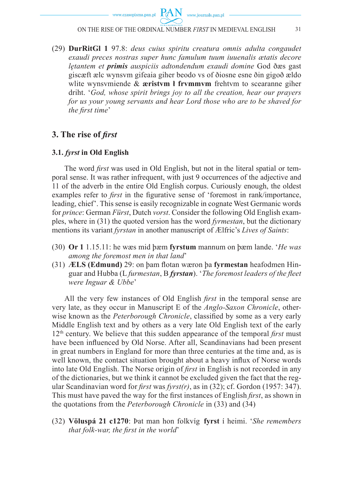$PAN$  www.journals.pan.pl

ON THE RISE OF THE ORDINAL NUMBER *FIRST* IN MEDIEVAL ENGLISH 31

(29) **DurRitGl 1** 97.8: *deus cuius spiritu creatura omnis adulta congaudet exaudi preces nostras super hunc famulum tuum iuuenalis ætatis decore lętantem et primis auspiciis adtondendum exaudi domine* God ðæs gast giscæft ælc wynsvm gifeaia giher beodo vs of ðiosne esne ðin gigoð ældo wlite wynsvmiende & **æristvm ł frvmmvm** frehtvm to scearanne giher driht. '*God, whose spirit brings joy to all the creation, hear our prayers for us your young servants and hear Lord those who are to be shaved for the first time*'

# **3.** The rise of *first*

#### **3.1.** *fyrst* **in Old English**

The word *first* was used in Old English, but not in the literal spatial or temporal sense. It was rather infrequent, with just 9 occurrences of the adjective and 11 of the adverb in the entire Old English corpus. Curiously enough, the oldest examples refer to *first* in the figurative sense of 'foremost in rank/importance, leading, chief'. This sense is easily recognizable in cognate West Germanic words for *prince*: German *Fürst*, Dutch *vorst*. Consider the following Old English examples, where in (31) the quoted version has the word *fyrmestan*, but the dictionary mentions its variant *fyrstan* in another manuscript of Ælfric's *Lives of Saints*:

- (30) **Or 1** 1.15.11: he wæs mid þæm **fyrstum** mannum on þæm lande. '*He was among the foremost men in that land*'
- (31) **ÆLS (Edmund)** 29: on þam flotan wæron þa **fyrmestan** heafodmen Hinguar and Hubba (L *furmestan*, B *fyrstan*). '*The foremost leaders of the fleet were Inguar & Ubbe*'

All the very few instances of Old English *first* in the temporal sense are very late, as they occur in Manuscript E of the *Anglo-Saxon Chronicle*, otherwise known as the *Peterborough Chronicle*, classified by some as a very early Middle English text and by others as a very late Old English text of the early  $12<sup>th</sup>$  century. We believe that this sudden appearance of the temporal *first* must have been influenced by Old Norse. After all, Scandinavians had been present in great numbers in England for more than three centuries at the time and, as is well known, the contact situation brought about a heavy influx of Norse words into late Old English. The Norse origin of *first* in English is not recorded in any of the dictionaries, but we think it cannot be excluded given the fact that the regular Scandinavian word for *first* was *fyrst(r)*, as in  $(32)$ ; cf. Gordon  $(1957: 347)$ . This must have paved the way for the first instances of English *first*, as shown in the quotations from the *Peterborough Chronicle* in (33) and (34)

(32) **Völuspá 21 c1270**: Þat man hon folkvíg **fyrst** í heimi. '*She remembers that folk-war, the first in the world*'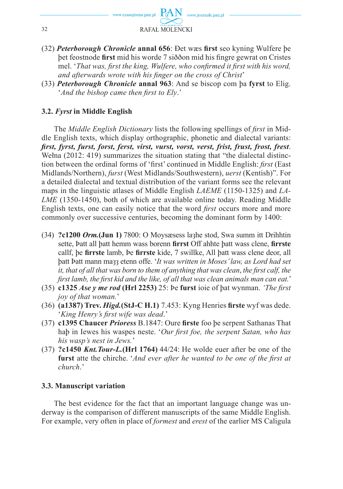

- (32) *Peterborough Chronicle* **annal 656**: Ðet wæs **fi rst** seo kyning Wulfere þe bet feostnode first mid his worde 7 siððon mid his fingre gewrat on Cristes mel. '*That was, first the king, Wulfere, who confirmed it first with his word.* and afterwards wrote with his finger on the cross of Christ'
- (33) *Peterborough Chronicle* **annal 963**: And se biscop com þa **fyrst** to Elig. '*And the bishop came then first to Elv.*'

## **3.2.** *Fyrst* **in Middle English**

The *Middle English Dictionary* lists the following spellings of *first* in Middle English texts, which display orthographic, phonetic and dialectal variants: *fi rst, fyrst, furst, forst, ferst, virst, vurst, vorst, verst, frist, frust, frost, frest*. Wełna (2012: 419) summarizes the situation stating that "the dialectal distinction between the ordinal forms of 'first' continued in Middle English: *first* (East Midlands/Northern), *furst* (West Midlands/Southwestern), *uerst* (Kentish)". For a detailed dialectal and textual distribution of the variant forms see the relevant maps in the linguistic atlases of Middle English *LAEME* (1150-1325) and *LA-LME* (1350-1450), both of which are available online today. Reading Middle English texts, one can easily notice that the word *first* occurs more and more commonly over successive centuries, becoming the dominant form by 1400:

- (34) **?c1200** *Orm.***(Jun 1)** 7800: O Moysæsess laȝhe stod, Swa summ itt Drihhtin sette, Þatt all þatt hemm wass borenn firrst Off ahhte þatt wass clene, firrste callf, þe **firrste** lamb, Þe **firrste** kide, 7 swillke, All þatt wass clene deor, all þatt Þatt mann maȝȝ etenn offe. '*It was written in Moses' law, as Lord had set it, that of all that was born to them of anything that was clean, the first calf, the first lamb, the first kid and the like, of all that was clean animals man can eat.*'
- (35) **c1325** *Ase y me rod* (Hrl 2253) 25: be furst ioie of bat wynman. *'The first joy of that woman.*'
- (36) **(a1387) Trev.** *Higd.***(StJ-C H.1)** 7.453: Kyng Henries **fi rste** wyf was dede. '*King Henry's first wife was dead.*'
- (37) **c1395 Chaucer** *Prioress* B.1847: Oure **fi rste** foo þe serpent Sathanas That haþ in Iewes his waspes neste. '*Our first foe, the serpent Satan, who has his wasp's nest in Jews.*'
- (37) **?c1450** *Knt.Tour-L.***(Hrl 1764)** 44/24: He wolde euer after be one of the **furst** atte the chirche. '*And ever after he wanted to be one of the first at church*.'

#### **3.3. Manuscript variation**

The best evidence for the fact that an important language change was underway is the comparison of different manuscripts of the same Middle English. For example, very often in place of *formest* and *erest* of the earlier MS Caligula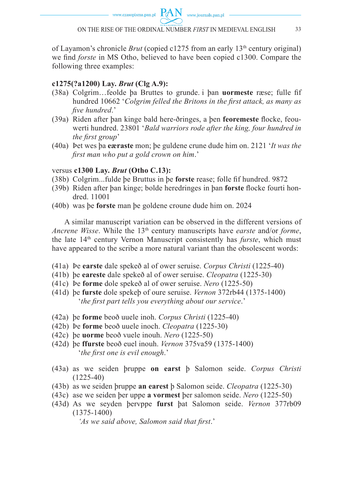of Layamon's chronicle *Brut* (copied c1275 from an early 13th century original) we find *forste* in MS Otho, believed to have been copied c1300. Compare the following three examples:

### **c1275(?a1200) Lay.** *Brut* **(Clg A.9):**

- (38a) Colgrim...feolde ba Bruttes to grunde i ban **uormeste** ræse; fulle fif hundred 10662 '*Colgrim felled the Britons in the first attack*, as many as *fi ve hundred*.'
- (39a) Riden after þan kinge bald here-ðringes, a þen **feoremeste** flocke, feouwerti hundred. 23801 '*Bald warriors rode after the king, four hundred in the first group*'
- (40a) Þet wes þa **eæraste** mon; þe guldene crune dude him on. 2121 '*It was the fi rst man who put a gold crown on him*.'

#### versus **c1300 Lay.** *Brut* **(Otho C.13):**

- (38b) Colgrim...fulde þe Bruttus in þe **forste** rease; folle fi f hundred. 9872
- (39b) Riden after þan kinge; bolde heredringes in þan **forste** flocke fourti hondred. 11001
- (40b) was þe **forste** man þe goldene croune dude him on. 2024

A similar manuscript variation can be observed in the different versions of *Ancrene Wisse*. While the 13th century manuscripts have *earste* and/or *forme*, the late 14th century Vernon Manuscript consistently has *furste*, which must have appeared to the scribe a more natural variant than the obsolescent words:

- (41a) Þe **earste** dale spekeð al of ower seruise. *Corpus Christi* (1225-40)
- (41b) þe **eareste** dale spekeð al of ower seruise. *Cleopatra* (1225-30)
- (41c) Þe **forme** dole spekeð al of ower seruise. *Nero* (1225-50)
- (41d) þe **furste** dole spekeþ of oure seruise. *Vernon* 372rb44 (1375-1400) '*the first part tells you everything about our service*.'
- (42a) þe **forme** beoð uuele inoh. *Corpus Christi* (1225-40)
- (42b) Þe **forme** beoð uuele inoch. *Cleopatra* (1225-30)
- (42c) þe **uorme** beoð vuele inouh. *Nero* (1225-50)
- (42d) þe **ffurste** beoð euel inouh. *Vernon* 375va59 (1375-1400) '*the first one is evil enough.*'
- (43a) as we seiden þruppe **on earst** þ Salomon seide. *Corpus Christi* (1225-40)
- (43b) as we seiden þruppe **an earest** þ Salomon seide. *Cleopatra* (1225-30)
- (43c) ase we seiden þer uppe **a vormest** þer salomon seide. *Nero* (1225-50)
- (43d) As we seyden þervppe **furst** þat Salomon seide. *Vernon* 377rb09 (1375-1400)

'As we said above, Salomon said that first.'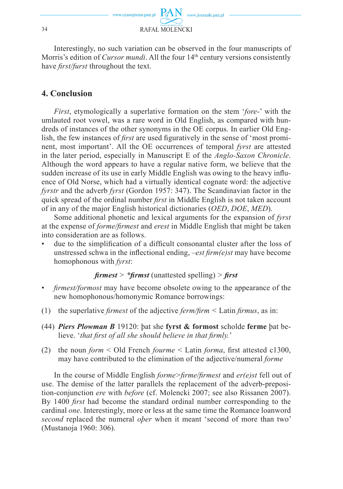

Interestingly, no such variation can be observed in the four manuscripts of Morris's edition of *Cursor mundi*. All the four 14<sup>th</sup> century versions consistently have *first/furst* throughout the text.

### **4. Conclusion**

*First*, etymologically a superlative formation on the stem '*fore-*' with the umlauted root vowel, was a rare word in Old English, as compared with hundreds of instances of the other synonyms in the OE corpus. In earlier Old English, the few instances of *first* are used figuratively in the sense of 'most prominent, most important'. All the OE occurrences of temporal *fyrst* are attested in the later period, especially in Manuscript E of the *Anglo-Saxon Chronicle*. Although the word appears to have a regular native form, we believe that the sudden increase of its use in early Middle English was owing to the heavy influence of Old Norse, which had a virtually identical cognate word: the adjective *fyrstr* and the adverb *fyrst* (Gordon 1957: 347). The Scandinavian factor in the quick spread of the ordinal number *first* in Middle English is not taken account of in any of the major English historical dictionaries (*OED*, *DOE*, *MED*).

Some additional phonetic and lexical arguments for the expansion of *fyrst*  at the expense of *forme/fi rmest* and *erest* in Middle English that might be taken into consideration are as follows.

due to the simplification of a difficult consonantal cluster after the loss of unstressed schwa in the inflectional ending, *–est firm(e)st* may have become homophonous with *fyrst*:

 $f$ *firmest* >  $*$ *firmst* (unattested spelling) > *first* 

- *firmest/formost* may have become obsolete owing to the appearance of the new homophonous/homonymic Romance borrowings:
- (1) the superlative *firmest* of the adjective  $ferm/firm \leq Latin \, firms$ , as in:
- (44) *Piers Plowman B* 19120: þat she **fyrst & formost** scholde **ferme** þat believe. '*that first of all she should believe in that firmly.*'
- (2) the noun  $form <$  Old French *fourme*  $\le$  Latin *forma*, first attested c1300, may have contributed to the elimination of the adjective/numeral *forme*

In the course of Middle English *forme>firme/firmest* and *er(e)st* fell out of use. The demise of the latter parallels the replacement of the adverb-preposition-conjunction *ere* with *before* (cf. Molencki 2007; see also Rissanen 2007). By 1400 *first* had become the standard ordinal number corresponding to the cardinal *one*. Interestingly, more or less at the same time the Romance loanword *second* replaced the numeral *oþer* when it meant 'second of more than two' (Mustanoja 1960: 306).